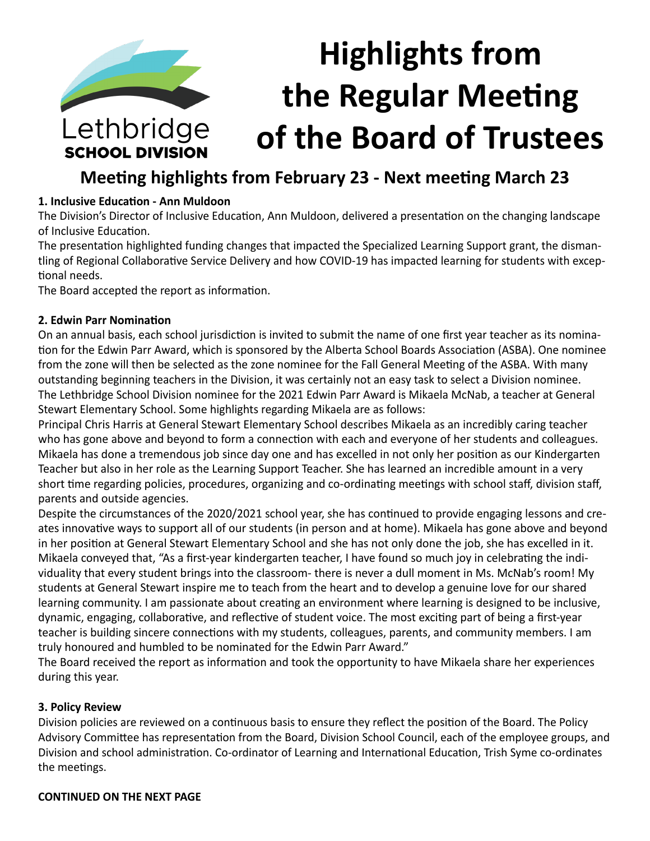# **Highlights from the Regular Meeting**  Lethbridge **of the Board of Trustees SCHOOL DIVISION**

# **Meeting highlights from February 23 - Next meeting March 23**

# **1. Inclusive Education - Ann Muldoon**

The Division's Director of Inclusive Education, Ann Muldoon, delivered a presentation on the changing landscape of Inclusive Education.

The presentation highlighted funding changes that impacted the Specialized Learning Support grant, the dismantling of Regional Collaborative Service Delivery and how COVID-19 has impacted learning for students with exceptional needs.

The Board accepted the report as information.

# **2. Edwin Parr Nomination**

On an annual basis, each school jurisdiction is invited to submit the name of one first year teacher as its nomination for the Edwin Parr Award, which is sponsored by the Alberta School Boards Association (ASBA). One nominee from the zone will then be selected as the zone nominee for the Fall General Meeting of the ASBA. With many outstanding beginning teachers in the Division, it was certainly not an easy task to select a Division nominee. The Lethbridge School Division nominee for the 2021 Edwin Parr Award is Mikaela McNab, a teacher at General Stewart Elementary School. Some highlights regarding Mikaela are as follows:

Principal Chris Harris at General Stewart Elementary School describes Mikaela as an incredibly caring teacher who has gone above and beyond to form a connection with each and everyone of her students and colleagues. Mikaela has done a tremendous job since day one and has excelled in not only her position as our Kindergarten Teacher but also in her role as the Learning Support Teacher. She has learned an incredible amount in a very short time regarding policies, procedures, organizing and co-ordinating meetings with school staff, division staff, parents and outside agencies.

Despite the circumstances of the 2020/2021 school year, she has continued to provide engaging lessons and creates innovative ways to support all of our students (in person and at home). Mikaela has gone above and beyond in her position at General Stewart Elementary School and she has not only done the job, she has excelled in it. Mikaela conveyed that, "As a first-year kindergarten teacher, I have found so much joy in celebrating the individuality that every student brings into the classroom- there is never a dull moment in Ms. McNab's room! My students at General Stewart inspire me to teach from the heart and to develop a genuine love for our shared learning community. I am passionate about creating an environment where learning is designed to be inclusive, dynamic, engaging, collaborative, and reflective of student voice. The most exciting part of being a first-year teacher is building sincere connections with my students, colleagues, parents, and community members. I am truly honoured and humbled to be nominated for the Edwin Parr Award."

The Board received the report as information and took the opportunity to have Mikaela share her experiences during this year.

# **3. Policy Review**

Division policies are reviewed on a continuous basis to ensure they reflect the position of the Board. The Policy Advisory Committee has representation from the Board, Division School Council, each of the employee groups, and Division and school administration. Co-ordinator of Learning and International Education, Trish Syme co-ordinates the meetings.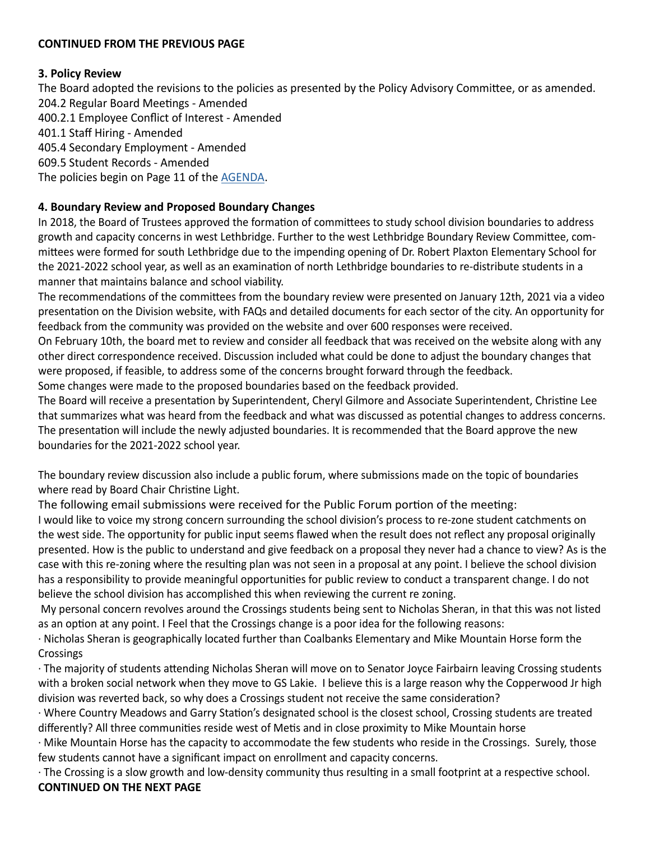#### **3. Policy Review**

The Board adopted the revisions to the policies as presented by the Policy Advisory Committee, or as amended. 204.2 Regular Board Meetings - Amended 400.2.1 Employee Conflict of Interest - Amended 401.1 Staff Hiring - Amended 405.4 Secondary Employment - Amended 609.5 Student Records - Amended The policies begin on Page 11 of the [AGENDA](https://www.lethsd.ab.ca/download/331651).

# **4. Boundary Review and Proposed Boundary Changes**

In 2018, the Board of Trustees approved the formation of committees to study school division boundaries to address growth and capacity concerns in west Lethbridge. Further to the west Lethbridge Boundary Review Committee, committees were formed for south Lethbridge due to the impending opening of Dr. Robert Plaxton Elementary School for the 2021-2022 school year, as well as an examination of north Lethbridge boundaries to re-distribute students in a manner that maintains balance and school viability.

The recommendations of the committees from the boundary review were presented on January 12th, 2021 via a video presentation on the Division website, with FAQs and detailed documents for each sector of the city. An opportunity for feedback from the community was provided on the website and over 600 responses were received.

On February 10th, the board met to review and consider all feedback that was received on the website along with any other direct correspondence received. Discussion included what could be done to adjust the boundary changes that were proposed, if feasible, to address some of the concerns brought forward through the feedback.

Some changes were made to the proposed boundaries based on the feedback provided.

The Board will receive a presentation by Superintendent, Cheryl Gilmore and Associate Superintendent, Christine Lee that summarizes what was heard from the feedback and what was discussed as potential changes to address concerns. The presentation will include the newly adjusted boundaries. It is recommended that the Board approve the new boundaries for the 2021-2022 school year.

The boundary review discussion also include a public forum, where submissions made on the topic of boundaries where read by Board Chair Christine Light.

The following email submissions were received for the Public Forum portion of the meeting:

I would like to voice my strong concern surrounding the school division's process to re-zone student catchments on the west side. The opportunity for public input seems flawed when the result does not reflect any proposal originally presented. How is the public to understand and give feedback on a proposal they never had a chance to view? As is the case with this re-zoning where the resulting plan was not seen in a proposal at any point. I believe the school division has a responsibility to provide meaningful opportunities for public review to conduct a transparent change. I do not believe the school division has accomplished this when reviewing the current re zoning.

 My personal concern revolves around the Crossings students being sent to Nicholas Sheran, in that this was not listed as an option at any point. I Feel that the Crossings change is a poor idea for the following reasons:

· Nicholas Sheran is geographically located further than Coalbanks Elementary and Mike Mountain Horse form the Crossings

· The majority of students attending Nicholas Sheran will move on to Senator Joyce Fairbairn leaving Crossing students with a broken social network when they move to GS Lakie. I believe this is a large reason why the Copperwood Jr high division was reverted back, so why does a Crossings student not receive the same consideration?

· Where Country Meadows and Garry Station's designated school is the closest school, Crossing students are treated differently? All three communities reside west of Metis and in close proximity to Mike Mountain horse

· Mike Mountain Horse has the capacity to accommodate the few students who reside in the Crossings. Surely, those few students cannot have a significant impact on enrollment and capacity concerns.

· The Crossing is a slow growth and low-density community thus resulting in a small footprint at a respective school. **CONTINUED ON THE NEXT PAGE**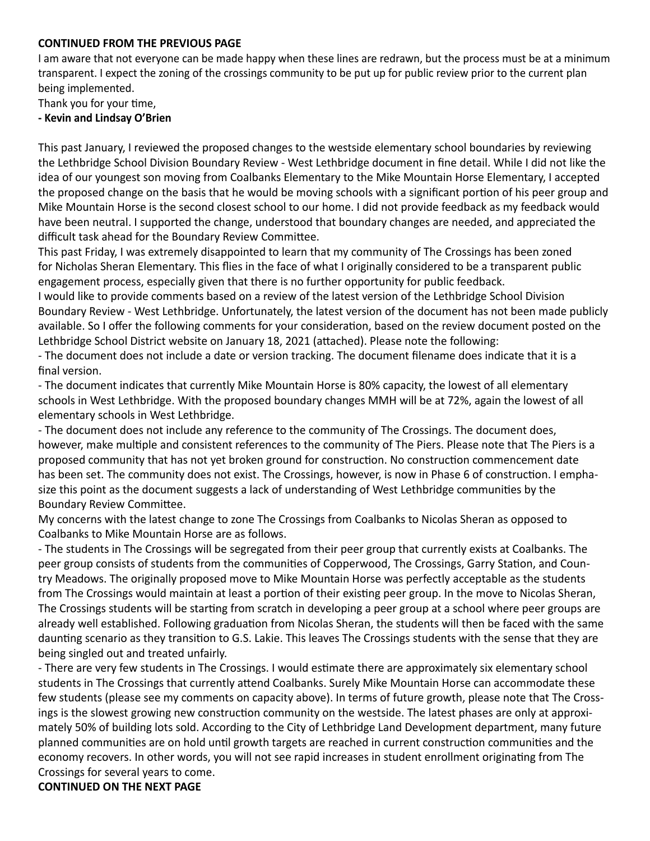I am aware that not everyone can be made happy when these lines are redrawn, but the process must be at a minimum transparent. I expect the zoning of the crossings community to be put up for public review prior to the current plan being implemented.

Thank you for your time,

#### **- Kevin and Lindsay O'Brien**

This past January, I reviewed the proposed changes to the westside elementary school boundaries by reviewing the Lethbridge School Division Boundary Review - West Lethbridge document in fine detail. While I did not like the idea of our youngest son moving from Coalbanks Elementary to the Mike Mountain Horse Elementary, I accepted the proposed change on the basis that he would be moving schools with a significant portion of his peer group and Mike Mountain Horse is the second closest school to our home. I did not provide feedback as my feedback would have been neutral. I supported the change, understood that boundary changes are needed, and appreciated the difficult task ahead for the Boundary Review Committee.

This past Friday, I was extremely disappointed to learn that my community of The Crossings has been zoned for Nicholas Sheran Elementary. This flies in the face of what I originally considered to be a transparent public engagement process, especially given that there is no further opportunity for public feedback.

I would like to provide comments based on a review of the latest version of the Lethbridge School Division Boundary Review - West Lethbridge. Unfortunately, the latest version of the document has not been made publicly available. So I offer the following comments for your consideration, based on the review document posted on the Lethbridge School District website on January 18, 2021 (attached). Please note the following:

- The document does not include a date or version tracking. The document filename does indicate that it is a final version.

- The document indicates that currently Mike Mountain Horse is 80% capacity, the lowest of all elementary schools in West Lethbridge. With the proposed boundary changes MMH will be at 72%, again the lowest of all elementary schools in West Lethbridge.

- The document does not include any reference to the community of The Crossings. The document does, however, make multiple and consistent references to the community of The Piers. Please note that The Piers is a proposed community that has not yet broken ground for construction. No construction commencement date has been set. The community does not exist. The Crossings, however, is now in Phase 6 of construction. I emphasize this point as the document suggests a lack of understanding of West Lethbridge communities by the Boundary Review Committee.

My concerns with the latest change to zone The Crossings from Coalbanks to Nicolas Sheran as opposed to Coalbanks to Mike Mountain Horse are as follows.

- The students in The Crossings will be segregated from their peer group that currently exists at Coalbanks. The peer group consists of students from the communities of Copperwood, The Crossings, Garry Station, and Country Meadows. The originally proposed move to Mike Mountain Horse was perfectly acceptable as the students from The Crossings would maintain at least a portion of their existing peer group. In the move to Nicolas Sheran, The Crossings students will be starting from scratch in developing a peer group at a school where peer groups are already well established. Following graduation from Nicolas Sheran, the students will then be faced with the same daunting scenario as they transition to G.S. Lakie. This leaves The Crossings students with the sense that they are being singled out and treated unfairly.

- There are very few students in The Crossings. I would estimate there are approximately six elementary school students in The Crossings that currently attend Coalbanks. Surely Mike Mountain Horse can accommodate these few students (please see my comments on capacity above). In terms of future growth, please note that The Crossings is the slowest growing new construction community on the westside. The latest phases are only at approximately 50% of building lots sold. According to the City of Lethbridge Land Development department, many future planned communities are on hold until growth targets are reached in current construction communities and the economy recovers. In other words, you will not see rapid increases in student enrollment originating from The Crossings for several years to come.

#### **CONTINUED ON THE NEXT PAGE**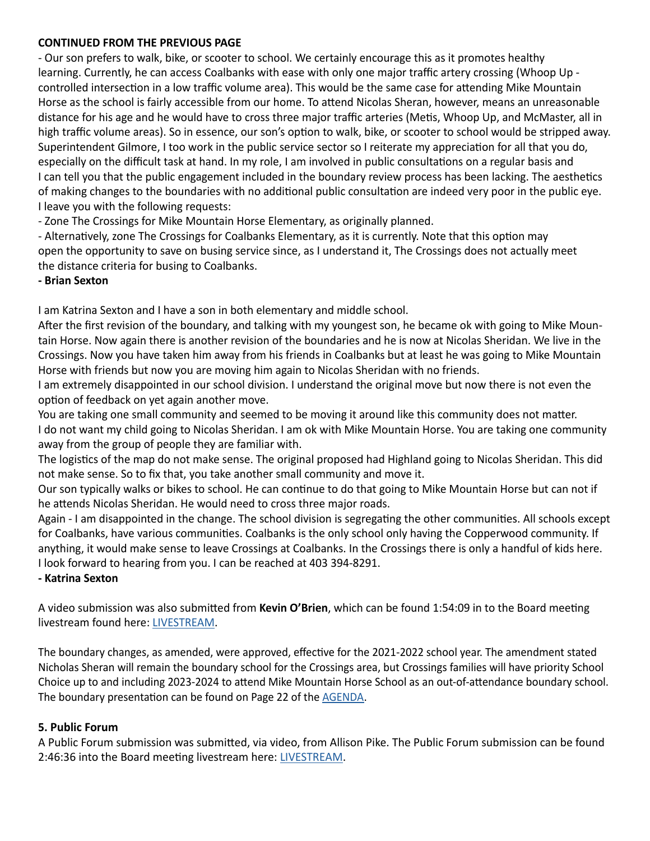- Our son prefers to walk, bike, or scooter to school. We certainly encourage this as it promotes healthy learning. Currently, he can access Coalbanks with ease with only one major traffic artery crossing (Whoop Up controlled intersection in a low traffic volume area). This would be the same case for attending Mike Mountain Horse as the school is fairly accessible from our home. To attend Nicolas Sheran, however, means an unreasonable distance for his age and he would have to cross three major traffic arteries (Metis, Whoop Up, and McMaster, all in high traffic volume areas). So in essence, our son's option to walk, bike, or scooter to school would be stripped away. Superintendent Gilmore, I too work in the public service sector so I reiterate my appreciation for all that you do, especially on the difficult task at hand. In my role, I am involved in public consultations on a regular basis and I can tell you that the public engagement included in the boundary review process has been lacking. The aesthetics of making changes to the boundaries with no additional public consultation are indeed very poor in the public eye. I leave you with the following requests:

- Zone The Crossings for Mike Mountain Horse Elementary, as originally planned.

- Alternatively, zone The Crossings for Coalbanks Elementary, as it is currently. Note that this option may open the opportunity to save on busing service since, as I understand it, The Crossings does not actually meet the distance criteria for busing to Coalbanks.

#### **- Brian Sexton**

I am Katrina Sexton and I have a son in both elementary and middle school.

After the first revision of the boundary, and talking with my youngest son, he became ok with going to Mike Mountain Horse. Now again there is another revision of the boundaries and he is now at Nicolas Sheridan. We live in the Crossings. Now you have taken him away from his friends in Coalbanks but at least he was going to Mike Mountain Horse with friends but now you are moving him again to Nicolas Sheridan with no friends.

I am extremely disappointed in our school division. I understand the original move but now there is not even the option of feedback on yet again another move.

You are taking one small community and seemed to be moving it around like this community does not matter. I do not want my child going to Nicolas Sheridan. I am ok with Mike Mountain Horse. You are taking one community away from the group of people they are familiar with.

The logistics of the map do not make sense. The original proposed had Highland going to Nicolas Sheridan. This did not make sense. So to fix that, you take another small community and move it.

Our son typically walks or bikes to school. He can continue to do that going to Mike Mountain Horse but can not if he attends Nicolas Sheridan. He would need to cross three major roads.

Again - I am disappointed in the change. The school division is segregating the other communities. All schools except for Coalbanks, have various communities. Coalbanks is the only school only having the Copperwood community. If anything, it would make sense to leave Crossings at Coalbanks. In the Crossings there is only a handful of kids here. I look forward to hearing from you. I can be reached at 403 394-8291.

#### **- Katrina Sexton**

A video submission was also submitted from **Kevin O'Brien**, which can be found 1:54:09 in to the Board meeting livestream found here: [LIVESTREAM](https://www.youtube.com/watch?v=cRd_-khou1Y&t=6897s).

The boundary changes, as amended, were approved, effective for the 2021-2022 school year. The amendment stated Nicholas Sheran will remain the boundary school for the Crossings area, but Crossings families will have priority School Choice up to and including 2023-2024 to attend Mike Mountain Horse School as an out-of-attendance boundary school. The boundary presentation can be found on Page 22 of the [AGENDA.](https://www.lethsd.ab.ca/download/331651)

#### **5. Public Forum**

A Public Forum submission was submitted, via video, from Allison Pike. The Public Forum submission can be found 2:46:36 into the Board meeting livestream here: [LIVESTREAM](https://www.youtube.com/watch?v=cRd_-khou1Y&t=6897s).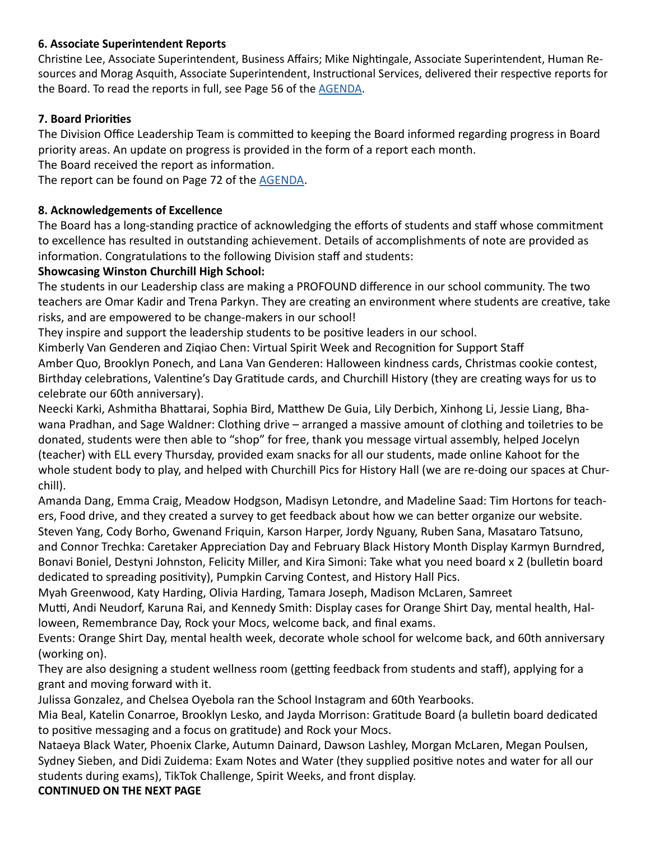# **6. Associate Superintendent Reports**

Christine Lee, Associate Superintendent, Business Affairs; Mike Nightingale, Associate Superintendent, Human Resources and Morag Asquith, Associate Superintendent, Instructional Services, delivered their respective reports for the Board. To read the reports in full, see Page 56 of the [AGENDA](https://www.lethsd.ab.ca/download/331651).

# **7. Board Priorities**

The Division Office Leadership Team is committed to keeping the Board informed regarding progress in Board priority areas. An update on progress is provided in the form of a report each month.

The Board received the report as information.

The report can be found on Page 72 of the [AGENDA.](https://www.lethsd.ab.ca/download/331651)

# **8. Acknowledgements of Excellence**

The Board has a long-standing practice of acknowledging the efforts of students and staff whose commitment to excellence has resulted in outstanding achievement. Details of accomplishments of note are provided as information. Congratulations to the following Division staff and students:

# **Showcasing Winston Churchill High School:**

The students in our Leadership class are making a PROFOUND difference in our school community. The two teachers are Omar Kadir and Trena Parkyn. They are creating an environment where students are creative, take risks, and are empowered to be change-makers in our school!

They inspire and support the leadership students to be positive leaders in our school.

Kimberly Van Genderen and Ziqiao Chen: Virtual Spirit Week and Recognition for Support Staff Amber Quo, Brooklyn Ponech, and Lana Van Genderen: Halloween kindness cards, Christmas cookie contest, Birthday celebrations, Valentine's Day Gratitude cards, and Churchill History (they are creating ways for us to celebrate our 60th anniversary).

Neecki Karki, Ashmitha Bhattarai, Sophia Bird, Matthew De Guia, Lily Derbich, Xinhong Li, Jessie Liang, Bhawana Pradhan, and Sage Waldner: Clothing drive – arranged a massive amount of clothing and toiletries to be donated, students were then able to "shop" for free, thank you message virtual assembly, helped Jocelyn (teacher) with ELL every Thursday, provided exam snacks for all our students, made online Kahoot for the whole student body to play, and helped with Churchill Pics for History Hall (we are re-doing our spaces at Churchill).

Amanda Dang, Emma Craig, Meadow Hodgson, Madisyn Letondre, and Madeline Saad: Tim Hortons for teachers, Food drive, and they created a survey to get feedback about how we can better organize our website. Steven Yang, Cody Borho, Gwenand Friquin, Karson Harper, Jordy Nguany, Ruben Sana, Masataro Tatsuno, and Connor Trechka: Caretaker Appreciation Day and February Black History Month Display Karmyn Burndred, Bonavi Boniel, Destyni Johnston, Felicity Miller, and Kira Simoni: Take what you need board x 2 (bulletin board dedicated to spreading positivity), Pumpkin Carving Contest, and History Hall Pics.

Myah Greenwood, Katy Harding, Olivia Harding, Tamara Joseph, Madison McLaren, Samreet

Mutti, Andi Neudorf, Karuna Rai, and Kennedy Smith: Display cases for Orange Shirt Day, mental health, Halloween, Remembrance Day, Rock your Mocs, welcome back, and final exams.

Events: Orange Shirt Day, mental health week, decorate whole school for welcome back, and 60th anniversary (working on).

They are also designing a student wellness room (getting feedback from students and staff), applying for a grant and moving forward with it.

Julissa Gonzalez, and Chelsea Oyebola ran the School Instagram and 60th Yearbooks.

Mia Beal, Katelin Conarroe, Brooklyn Lesko, and Jayda Morrison: Gratitude Board (a bulletin board dedicated to positive messaging and a focus on gratitude) and Rock your Mocs.

Nataeya Black Water, Phoenix Clarke, Autumn Dainard, Dawson Lashley, Morgan McLaren, Megan Poulsen, Sydney Sieben, and Didi Zuidema: Exam Notes and Water (they supplied positive notes and water for all our students during exams), TikTok Challenge, Spirit Weeks, and front display.

**CONTINUED ON THE NEXT PAGE**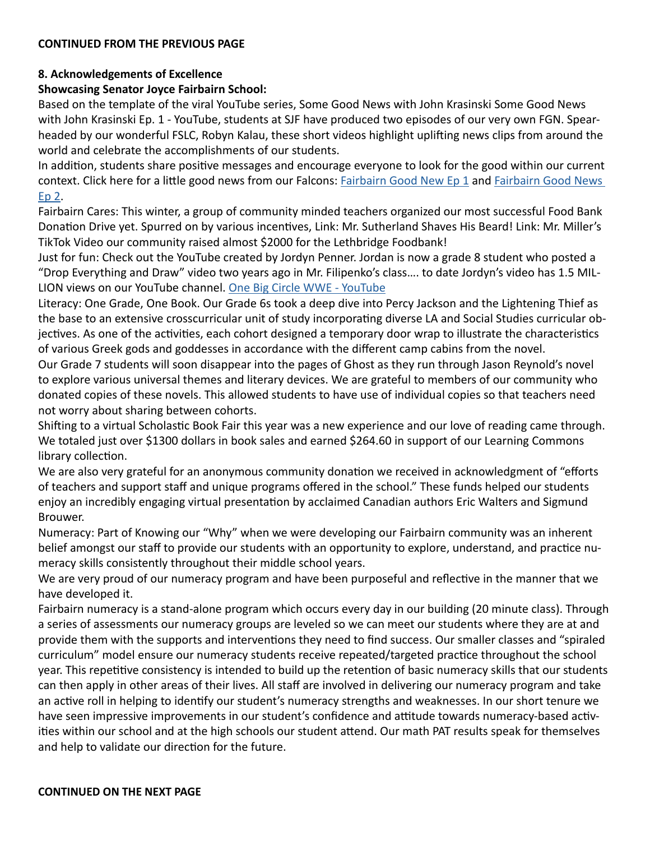#### **8. Acknowledgements of Excellence**

#### **Showcasing Senator Joyce Fairbairn School:**

Based on the template of the viral YouTube series, Some Good News with John Krasinski Some Good News with John Krasinski Ep. 1 - YouTube, students at SJF have produced two episodes of our very own FGN. Spearheaded by our wonderful FSLC, Robyn Kalau, these short videos highlight uplifting news clips from around the world and celebrate the accomplishments of our students.

In addition, students share positive messages and encourage everyone to look for the good within our current context. Click here for a little good news from our Falcons: [Fairbairn Good New Ep 1](https://www.youtube.com/watch?v=ViwyjZBHBZw) and Fairbairn Good News [Ep 2.](https://youtu.be/jbWPlJWuq3M)

Fairbairn Cares: This winter, a group of community minded teachers organized our most successful Food Bank Donation Drive yet. Spurred on by various incentives, Link: Mr. Sutherland Shaves His Beard! Link: Mr. Miller's TikTok Video our community raised almost \$2000 for the Lethbridge Foodbank!

Just for fun: Check out the YouTube created by Jordyn Penner. Jordan is now a grade 8 student who posted a "Drop Everything and Draw" video two years ago in Mr. Filipenko's class…. to date Jordyn's video has 1.5 MIL-LION views on our YouTube channel. [One Big Circle WWE - YouTube](https://can01.safelinks.protection.outlook.com/?url=https%3A%2F%2Fwww.youtube.com%2Fwatch%3Fv%3Dejbt2f6T17k&data=04%7C01%7CBill.Bartlett%40lethsd.ab.ca%7C3729a1c20cc64aa64f9c08d8cea75749%7C3c0e8b63e64e4c8da40f1d213b670472%7C0%7C0%7C637486565425195391%7CUnknown%7CTWFpbGZsb3d8eyJWIjoiMC4wLjAwMDAiLCJQIjoiV2luMzIiLCJBTiI6Ik1haWwiLCJXVCI6Mn0%3D%7C1000&sdata=JecleUCGA3e%2FI3ebzjk9oGFX8%2B0xcfZQfOG2DmUjPKY%3D&reserved=0)

Literacy: One Grade, One Book. Our Grade 6s took a deep dive into Percy Jackson and the Lightening Thief as the base to an extensive crosscurricular unit of study incorporating diverse LA and Social Studies curricular objectives. As one of the activities, each cohort designed a temporary door wrap to illustrate the characteristics of various Greek gods and goddesses in accordance with the different camp cabins from the novel.

Our Grade 7 students will soon disappear into the pages of Ghost as they run through Jason Reynold's novel to explore various universal themes and literary devices. We are grateful to members of our community who donated copies of these novels. This allowed students to have use of individual copies so that teachers need not worry about sharing between cohorts.

Shifting to a virtual Scholastic Book Fair this year was a new experience and our love of reading came through. We totaled just over \$1300 dollars in book sales and earned \$264.60 in support of our Learning Commons library collection.

We are also very grateful for an anonymous community donation we received in acknowledgment of "efforts of teachers and support staff and unique programs offered in the school." These funds helped our students enjoy an incredibly engaging virtual presentation by acclaimed Canadian authors Eric Walters and Sigmund Brouwer.

Numeracy: Part of Knowing our "Why" when we were developing our Fairbairn community was an inherent belief amongst our staff to provide our students with an opportunity to explore, understand, and practice numeracy skills consistently throughout their middle school years.

We are very proud of our numeracy program and have been purposeful and reflective in the manner that we have developed it.

Fairbairn numeracy is a stand-alone program which occurs every day in our building (20 minute class). Through a series of assessments our numeracy groups are leveled so we can meet our students where they are at and provide them with the supports and interventions they need to find success. Our smaller classes and "spiraled curriculum" model ensure our numeracy students receive repeated/targeted practice throughout the school year. This repetitive consistency is intended to build up the retention of basic numeracy skills that our students can then apply in other areas of their lives. All staff are involved in delivering our numeracy program and take an active roll in helping to identify our student's numeracy strengths and weaknesses. In our short tenure we have seen impressive improvements in our student's confidence and attitude towards numeracy-based activities within our school and at the high schools our student attend. Our math PAT results speak for themselves and help to validate our direction for the future.